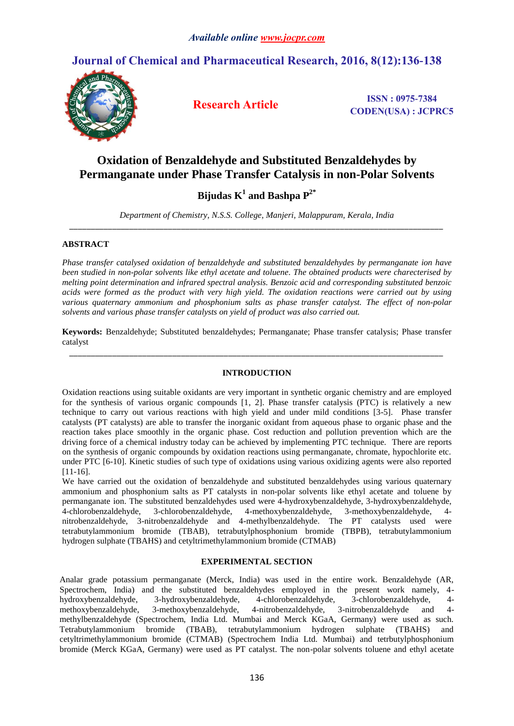# **Journal of Chemical and Pharmaceutical Research, 2016, 8(12):136-138**



**Research Article ISSN : 0975-7384 CODEN(USA) : JCPRC5**

# **Oxidation of Benzaldehyde and Substituted Benzaldehydes by Permanganate under Phase Transfer Catalysis in non-Polar Solvents**

**Bijudas K 1 and Bashpa P 2\***

*Department of Chemistry, N.S.S. College, Manjeri, Malappuram, Kerala, India \_\_\_\_\_\_\_\_\_\_\_\_\_\_\_\_\_\_\_\_\_\_\_\_\_\_\_\_\_\_\_\_\_\_\_\_\_\_\_\_\_\_\_\_\_\_\_\_\_\_\_\_\_\_\_\_\_\_\_\_\_\_\_\_\_\_\_\_\_\_\_\_\_\_\_\_\_\_\_\_\_\_\_\_\_\_\_*

## **ABSTRACT**

*Phase transfer catalysed oxidation of benzaldehyde and substituted benzaldehydes by permanganate ion have been studied in non-polar solvents like ethyl acetate and toluene. The obtained products were charecterised by melting point determination and infrared spectral analysis. Benzoic acid and corresponding substituted benzoic acids were formed as the product with very high yield. The oxidation reactions were carried out by using various quaternary ammonium and phosphonium salts as phase transfer catalyst. The effect of non-polar solvents and various phase transfer catalysts on yield of product was also carried out.*

**Keywords:** Benzaldehyde; Substituted benzaldehydes; Permanganate; Phase transfer catalysis; Phase transfer catalyst *\_\_\_\_\_\_\_\_\_\_\_\_\_\_\_\_\_\_\_\_\_\_\_\_\_\_\_\_\_\_\_\_\_\_\_\_\_\_\_\_\_\_\_\_\_\_\_\_\_\_\_\_\_\_\_\_\_\_\_\_\_\_\_\_\_\_\_\_\_\_\_\_\_\_\_\_\_\_\_\_\_\_\_\_\_\_\_*

### **INTRODUCTION**

Oxidation reactions using suitable oxidants are very important in synthetic organic chemistry and are employed for the synthesis of various organic compounds [1, 2]. Phase transfer catalysis (PTC) is relatively a new technique to carry out various reactions with high yield and under mild conditions [3-5]. Phase transfer catalysts (PT catalysts) are able to transfer the inorganic oxidant from aqueous phase to organic phase and the reaction takes place smoothly in the organic phase. Cost reduction and pollution prevention which are the driving force of a chemical industry today can be achieved by implementing PTC technique. There are reports on the synthesis of organic compounds by oxidation reactions using permanganate, chromate, hypochlorite etc. under PTC [6-10]. Kinetic studies of such type of oxidations using various oxidizing agents were also reported [11-16].

We have carried out the oxidation of benzaldehyde and substituted benzaldehydes using various quaternary ammonium and phosphonium salts as PT catalysts in non-polar solvents like ethyl acetate and toluene by permanganate ion. The substituted benzaldehydes used were 4-hydroxybenzaldehyde, 3-hydroxybenzaldehyde, 4-chlorobenzaldehyde, 3-chlorobenzaldehyde, 4-methoxybenzaldehyde, 3-methoxybenzaldehyde, 4 nitrobenzaldehyde, 3-nitrobenzaldehyde and 4-methylbenzaldehyde. The PT catalysts used were tetrabutylammonium bromide (TBAB), tetrabutylphosphonium bromide (TBPB), tetrabutylammonium hydrogen sulphate (TBAHS) and cetyltrimethylammonium bromide (CTMAB)

### **EXPERIMENTAL SECTION**

Analar grade potassium permanganate (Merck, India) was used in the entire work. Benzaldehyde (AR, Spectrochem, India) and the substituted benzaldehydes employed in the present work namely, 4 hydroxybenzaldehyde, 3-hydroxybenzaldehyde, 4-chlorobenzaldehyde, 3-chlorobenzaldehyde, 4 methoxybenzaldehyde, 3-methoxybenzaldehyde, 4-nitrobenzaldehyde, 3-nitrobenzaldehyde and 4 methylbenzaldehyde (Spectrochem, India Ltd. Mumbai and Merck KGaA, Germany) were used as such. Tetrabutylammonium bromide (TBAB), tetrabutylammonium hydrogen sulphate (TBAHS) and cetyltrimethylammonium bromide (CTMAB) (Spectrochem India Ltd. Mumbai) and tetrbutylphosphonium bromide (Merck KGaA, Germany) were used as PT catalyst. The non-polar solvents toluene and ethyl acetate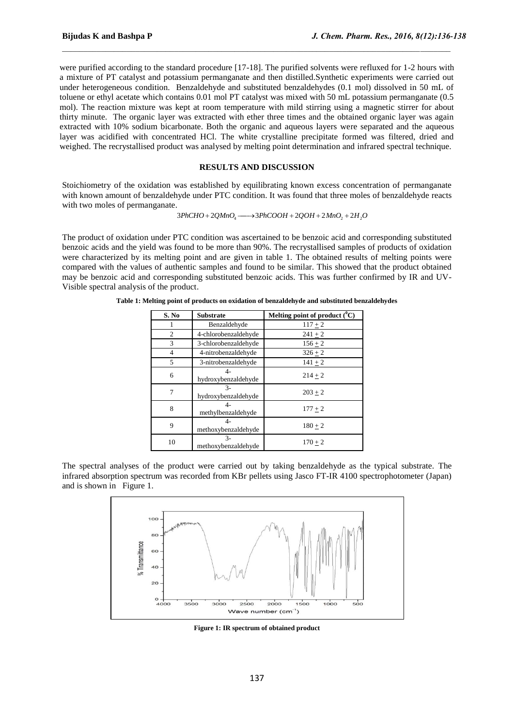were purified according to the standard procedure [17-18]. The purified solvents were refluxed for 1-2 hours with a mixture of PT catalyst and potassium permanganate and then distilled.Synthetic experiments were carried out under heterogeneous condition. Benzaldehyde and substituted benzaldehydes (0.1 mol) dissolved in 50 mL of toluene or ethyl acetate which contains 0.01 mol PT catalyst was mixed with 50 mL potassium permanganate (0.5 mol). The reaction mixture was kept at room temperature with mild stirring using a magnetic stirrer for about thirty minute. The organic layer was extracted with ether three times and the obtained organic layer was again extracted with 10% sodium bicarbonate. Both the organic and aqueous layers were separated and the aqueous layer was acidified with concentrated HCl. The white crystalline precipitate formed was filtered, dried and weighed. The recrystallised product was analysed by melting point determination and infrared spectral technique.

 $\_$  . The contribution of the contribution of the contribution of the contribution of  $\mathcal{L}_1$ 

#### **RESULTS AND DISCUSSION**

Stoichiometry of the oxidation was established by equilibrating known excess concentration of permanganate with known amount of benzaldehyde under PTC condition. It was found that three moles of benzaldehyde reacts with two moles of permanganate.

$$
3PhCHO + 2QMnO4 \longrightarrow 3PhCOOH + 2QOH + 2MnO2 + 2H2O
$$

The product of oxidation under PTC condition was ascertained to be benzoic acid and corresponding substituted benzoic acids and the yield was found to be more than 90%. The recrystallised samples of products of oxidation were characterized by its melting point and are given in table 1. The obtained results of melting points were compared with the values of authentic samples and found to be similar. This showed that the product obtained may be benzoic acid and corresponding substituted benzoic acids. This was further confirmed by IR and UV-Visible spectral analysis of the product.

| S. No          | <b>Substrate</b>                                   | Melting point of product $(^0C)$ |
|----------------|----------------------------------------------------|----------------------------------|
|                | Benzaldehyde                                       | $117 + 2$                        |
| $\overline{c}$ | 4-chlorobenzaldehyde                               | $241 \pm 2$                      |
| 3              | 3-chlorobenzaldehyde                               | $156 + 2$                        |
| 4              | 4-nitrobenzaldehyde                                | $326 + 2$                        |
| 5              | 3-nitrobenzaldehyde                                | $141 + 2$                        |
| 6              | $4-$<br>hydroxybenzaldehyde                        | $214 + 2$                        |
| 7              | $\mathcal{F}_{\mathcal{F}}$<br>hydroxybenzaldehyde | $203 + 2$                        |
| 8              | $\mathbf{I}$<br>methylbenzaldehyde                 | $177 + 2$                        |
| 9              | 4-<br>methoxybenzaldehyde                          | $180 + 2$                        |
| 10             | $3 -$<br>methoxybenzaldehyde                       | $170 + 2$                        |

**Table 1: Melting point of products on oxidation of benzaldehyde and substituted benzaldehydes**

The spectral analyses of the product were carried out by taking benzaldehyde as the typical substrate. The infrared absorption spectrum was recorded from KBr pellets using Jasco FT-IR 4100 spectrophotometer (Japan) and is shown in Figure 1.



**Figure 1: IR spectrum of obtained product**